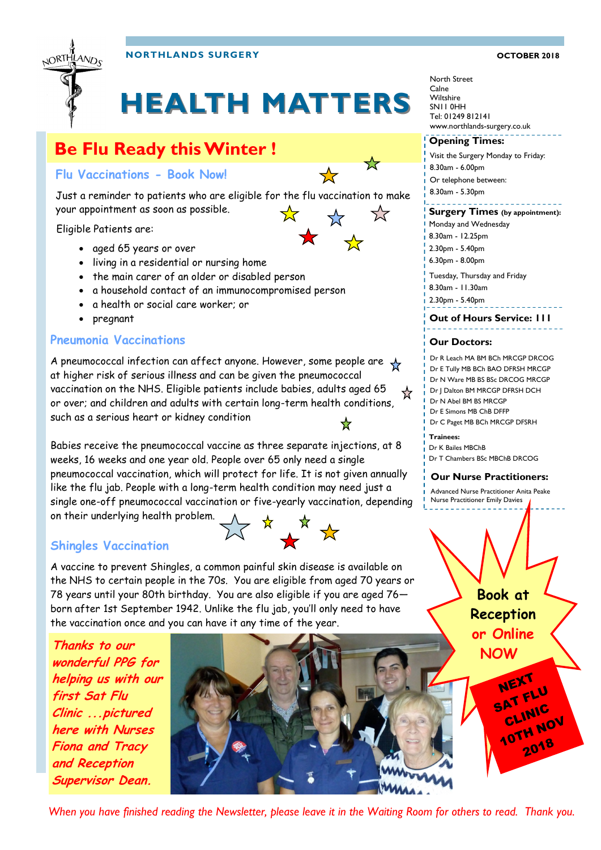

**NORTHLANDS SURGERY OCTOBER 2018**

# **HEALTH MATTERS**

## **Be Flu Ready this Winter !**

**Flu Vaccinations - Book Now!**



Just a reminder to patients who are eligible for the flu vaccination to make your appointment as soon as possible.  $\frac{1}{\sqrt{2}}$  $\lesssim$ 

Eligible Patients are:

- aged 65 years or over
- living in a residential or nursing home
- the main carer of an older or disabled person
- a household contact of an immunocompromised person
- a health or social care worker; or
- pregnant

### **Pneumonia Vaccinations**

A pneumococcal infection can affect anyone. However, some people are at higher risk of serious illness and can be given the pneumococcal vaccination on the NHS. Eligible patients include babies, adults aged 65 or over; and children and adults with certain long-term health conditions, such as a serious heart or kidney condition

Babies receive the pneumococcal vaccine as three separate injections, at 8 weeks, 16 weeks and one year old. People over 65 only need a single pneumococcal vaccination, which will protect for life. It is not given annually like the flu jab. People with a long-term health condition may need just a single one-off pneumococcal vaccination or five-yearly vaccination, depending on their underlying health problem. ☆ ☆ ☆

### **Shingles Vaccination**

A vaccine to prevent Shingles, a common painful skin disease is available on the NHS to certain people in the 70s. You are eligible from aged 70 years or 78 years until your 80th birthday. You are also eligible if you are aged 76 born after 1st September 1942. Unlike the flu jab, you'll only need to have the vaccination once and you can have it any time of the year.

**Thanks to our wonderful PPG for helping us with our first Sat Flu Clinic ...pictured here with Nurses Fiona and Tracy and Reception Supervisor Dean.**



North Street Calne **Wiltshire** SN11 0HH Tel: 01249 812141 www.northlands-surgery.co.uk

### **Opening Times:**

Visit the Surgery Monday to Friday: 8.30am - 6.00pm Or telephone between: 8.30am - 5.30pm

### **Surgery Times (by appointment):**

- 8.30am 12.25pm
- 2.30pm 5.40pm
- 6.30pm 8.00pm

Tuesday, Thursday and Friday

- 8.30am 11.30am
- 

### **Out of Hours Service: 111**

### **Our Doctors:**

- Dr R Leach MA BM BCh MRCGP DRCOG
- Dr E Tully MB BCh BAO DFRSH MRCGP
- Dr N Ware MB BS BSc DRCOG MRCGP
- Dr J Dalton BM MRCGP DFRSH DCH
- 
- 

- 
- 

Advanced Nurse Practitioner Anita Peake Nurse Practitioner Emily Davies

Monday and Wednesday

- 
- 
- 

2.30pm - 5.40pm



- 
- 

Dr N Abel BM BS MRCGP

Dr E Simons MB ChB DFFP

Dr C Paget MB BCh MRCGP DFSRH

**Trainees:**

Dr K Bailes MBChB

Dr T Chambers BSc MBChB DRCOG

### **Our Nurse Practitioners:**

**Book at Reception or Online** 

*When you have finished reading the Newsletter, please leave it in the Waiting Room for others to read. Thank you.*